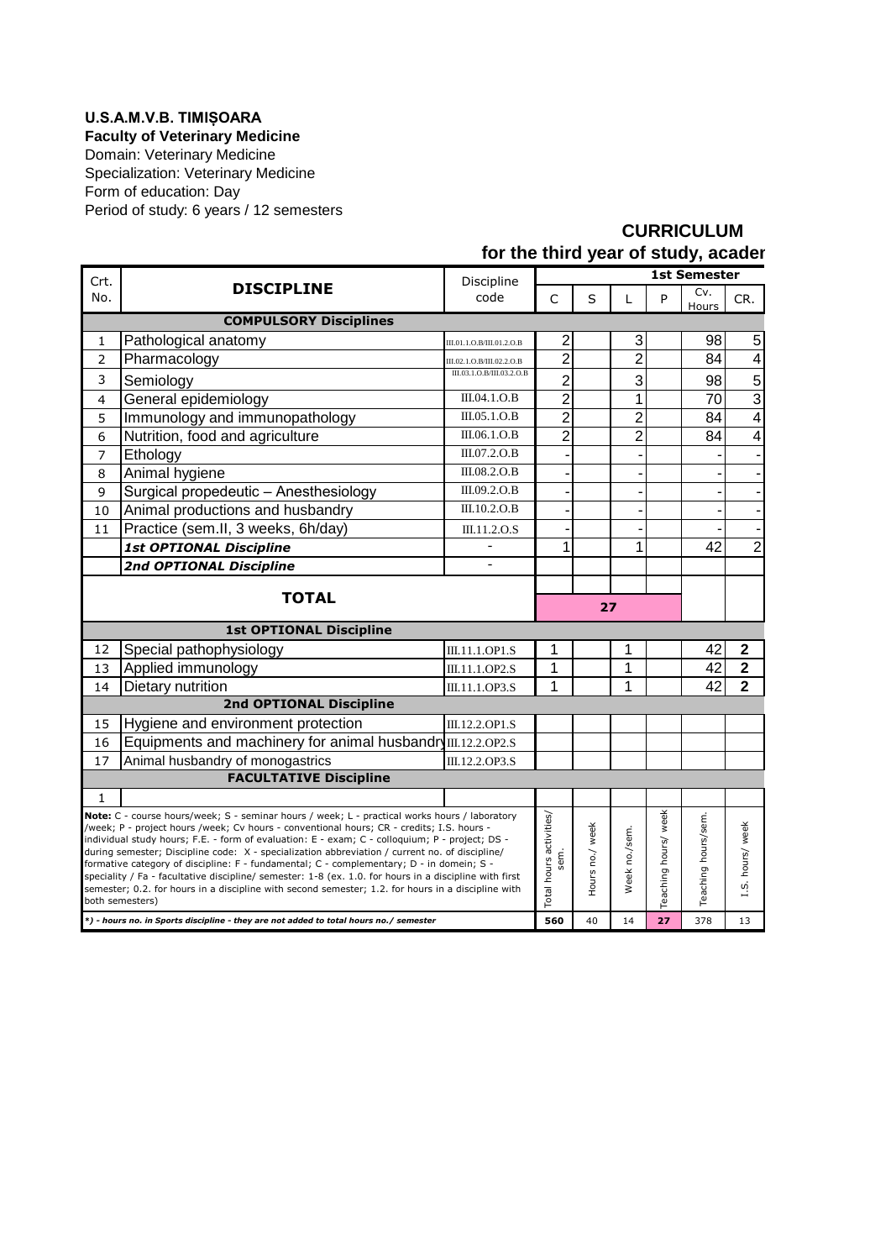## **U.S.A.M.V.B. TIMIȘOARA**

**Faculty of Veterinary Medicine**

Form of education: Day Period of study: 6 years / 12 semesters Domain: Veterinary Medicine Specialization: Veterinary Medicine

## **CURRICULUM** for the third year of study, acader

|                                |                                                                                                                                                                                                              |                           | <b>1st Semester</b> |               |                      |                     |                  |                |  |  |  |  |  |
|--------------------------------|--------------------------------------------------------------------------------------------------------------------------------------------------------------------------------------------------------------|---------------------------|---------------------|---------------|----------------------|---------------------|------------------|----------------|--|--|--|--|--|
| Crt.                           | <b>DISCIPLINE</b>                                                                                                                                                                                            | Discipline                |                     |               |                      |                     |                  |                |  |  |  |  |  |
| No.                            |                                                                                                                                                                                                              | code                      | C                   | S             | L                    | P                   | Cv.<br>Hours     | CR.            |  |  |  |  |  |
|                                | <b>COMPULSORY Disciplines</b>                                                                                                                                                                                |                           |                     |               |                      |                     |                  |                |  |  |  |  |  |
| 1                              | Pathological anatomy                                                                                                                                                                                         | III.01.1.O.B/III.01.2.O.B | 2                   |               | 3                    |                     | 98               | 5              |  |  |  |  |  |
| $\overline{2}$                 | Pharmacology                                                                                                                                                                                                 | III.02.1.O.B/III.02.2.O.B | $\overline{2}$      |               | $\overline{2}$       |                     | 84               | $\overline{4}$ |  |  |  |  |  |
| 3                              | Semiology                                                                                                                                                                                                    | III.03.1.O.B/III.03.2.O.B | $\overline{c}$      |               | 3                    |                     | 98               | 5              |  |  |  |  |  |
| 4                              | General epidemiology                                                                                                                                                                                         | III.04.1.O.B              | $\overline{2}$      |               | 1                    |                     | 70               | $\overline{3}$ |  |  |  |  |  |
| 5                              | Immunology and immunopathology                                                                                                                                                                               | III.05.1.O.B              | $\overline{c}$      |               | $\overline{c}$       |                     | 84               | $\overline{4}$ |  |  |  |  |  |
| 6                              | Nutrition, food and agriculture                                                                                                                                                                              | III.06.1.O.B              | $\overline{2}$      |               | $\overline{2}$       |                     | 84               | $\overline{4}$ |  |  |  |  |  |
| $\overline{7}$                 | Ethology                                                                                                                                                                                                     | III.07.2.O.B              |                     |               |                      |                     |                  |                |  |  |  |  |  |
| 8                              | Animal hygiene                                                                                                                                                                                               | III.08.2.O.B              |                     |               |                      |                     |                  |                |  |  |  |  |  |
| 9                              | Surgical propedeutic - Anesthesiology                                                                                                                                                                        | III.09.2.O.B              |                     |               |                      |                     |                  |                |  |  |  |  |  |
| 10                             | Animal productions and husbandry                                                                                                                                                                             | III.10.2.O.B              |                     |               |                      |                     |                  |                |  |  |  |  |  |
| 11                             | Practice (sem.II, 3 weeks, 6h/day)                                                                                                                                                                           | III.11.2.O.S              |                     |               |                      |                     |                  |                |  |  |  |  |  |
|                                | <b>1st OPTIONAL Discipline</b>                                                                                                                                                                               |                           |                     |               |                      |                     | 42               | 2              |  |  |  |  |  |
|                                | 2nd OPTIONAL Discipline                                                                                                                                                                                      | ÷                         |                     |               |                      |                     |                  |                |  |  |  |  |  |
|                                |                                                                                                                                                                                                              |                           |                     |               |                      |                     |                  |                |  |  |  |  |  |
|                                | <b>TOTAL</b>                                                                                                                                                                                                 |                           | 27                  |               |                      |                     |                  |                |  |  |  |  |  |
|                                | <b>1st OPTIONAL Discipline</b>                                                                                                                                                                               |                           |                     |               |                      |                     |                  |                |  |  |  |  |  |
| 12                             | Special pathophysiology                                                                                                                                                                                      | III.11.1.OP1.S            | 1                   |               | 1                    |                     | 42               | $\mathbf 2$    |  |  |  |  |  |
| 13                             | Applied immunology                                                                                                                                                                                           | III.11.1.OP2.S            | 1                   |               | 1                    |                     | 42               | $\overline{2}$ |  |  |  |  |  |
| 14                             | Dietary nutrition                                                                                                                                                                                            | III.11.1.OP3.S            | 1                   |               | 1                    |                     | 42               | $\overline{2}$ |  |  |  |  |  |
| <b>2nd OPTIONAL Discipline</b> |                                                                                                                                                                                                              |                           |                     |               |                      |                     |                  |                |  |  |  |  |  |
| 15                             | Hygiene and environment protection                                                                                                                                                                           | III.12.2.OP1.S            |                     |               |                      |                     |                  |                |  |  |  |  |  |
| 16                             | Equipments and machinery for animal husbandr III.12.2.0P2.S                                                                                                                                                  |                           |                     |               |                      |                     |                  |                |  |  |  |  |  |
| 17                             | Animal husbandry of monogastrics                                                                                                                                                                             | III.12.2.OP3.S            |                     |               |                      |                     |                  |                |  |  |  |  |  |
| <b>FACULTATIVE Discipline</b>  |                                                                                                                                                                                                              |                           |                     |               |                      |                     |                  |                |  |  |  |  |  |
| $\mathbf{1}$                   |                                                                                                                                                                                                              |                           |                     |               |                      |                     |                  |                |  |  |  |  |  |
|                                | Note: C - course hours/week; S - seminar hours / week; L - practical works hours / laboratory                                                                                                                |                           |                     |               |                      |                     |                  |                |  |  |  |  |  |
|                                | /week; P - project hours /week; Cv hours - conventional hours; CR - credits; I.S. hours -<br>individual study hours; F.E. - form of evaluation: E - exam; C - colloquium; P - project; DS -                  | Total hours activities/   | Hours no./ week     |               | Teaching hours/ week | Teaching hours/sem. | I.S. hours/ week |                |  |  |  |  |  |
|                                | during semester; Discipline code: X - specialization abbreviation / current no. of discipline/                                                                                                               |                           |                     |               |                      |                     |                  |                |  |  |  |  |  |
|                                | formative category of discipline: F - fundamental; C - complementary; D - in domein; S -                                                                                                                     | sem.                      |                     |               |                      |                     |                  |                |  |  |  |  |  |
|                                | speciality / Fa - facultative discipline/ semester: 1-8 (ex. 1.0. for hours in a discipline with first<br>semester; 0.2. for hours in a discipline with second semester; 1.2. for hours in a discipline with |                           |                     | Week no./sem. |                      |                     |                  |                |  |  |  |  |  |
|                                | both semesters)                                                                                                                                                                                              |                           |                     |               |                      |                     |                  |                |  |  |  |  |  |
|                                | *) - hours no. in Sports discipline - they are not added to total hours no./ semester                                                                                                                        | 560                       | 40                  | 14            | 27                   | 378                 | 13               |                |  |  |  |  |  |